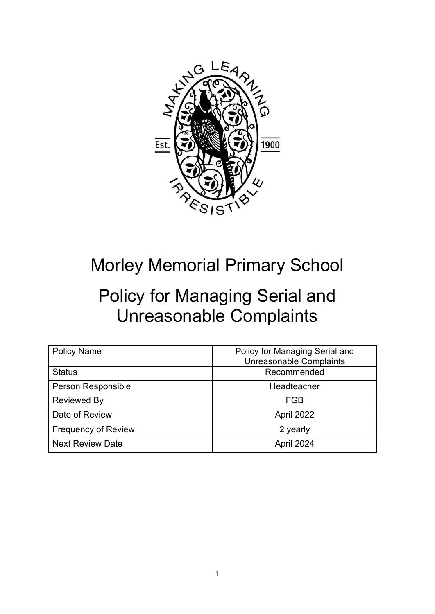

## Morley Memorial Primary School

## Policy for Managing Serial and Unreasonable Complaints

| <b>Policy Name</b>         | Policy for Managing Serial and<br><b>Unreasonable Complaints</b> |
|----------------------------|------------------------------------------------------------------|
| <b>Status</b>              | Recommended                                                      |
| Person Responsible         | Headteacher                                                      |
| Reviewed By                | FGB                                                              |
| Date of Review             | April 2022                                                       |
| <b>Frequency of Review</b> | 2 yearly                                                         |
| <b>Next Review Date</b>    | April 2024                                                       |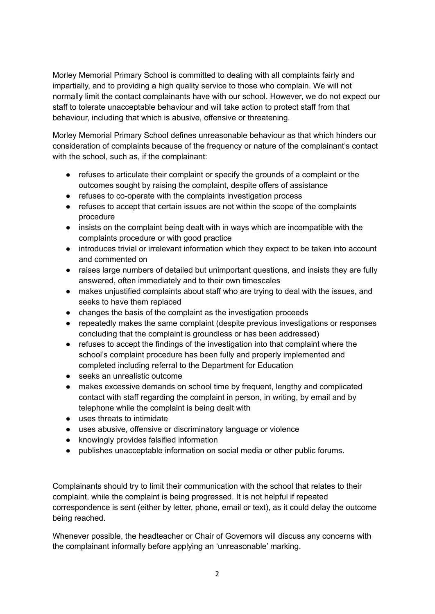Morley Memorial Primary School is committed to dealing with all complaints fairly and impartially, and to providing a high quality service to those who complain. We will not normally limit the contact complainants have with our school. However, we do not expect our staff to tolerate unacceptable behaviour and will take action to protect staff from that behaviour, including that which is abusive, offensive or threatening.

Morley Memorial Primary School defines unreasonable behaviour as that which hinders our consideration of complaints because of the frequency or nature of the complainant's contact with the school, such as, if the complainant:

- refuses to articulate their complaint or specify the grounds of a complaint or the outcomes sought by raising the complaint, despite offers of assistance
- refuses to co-operate with the complaints investigation process
- refuses to accept that certain issues are not within the scope of the complaints procedure
- insists on the complaint being dealt with in ways which are incompatible with the complaints procedure or with good practice
- introduces trivial or irrelevant information which they expect to be taken into account and commented on
- raises large numbers of detailed but unimportant questions, and insists they are fully answered, often immediately and to their own timescales
- makes unjustified complaints about staff who are trying to deal with the issues, and seeks to have them replaced
- changes the basis of the complaint as the investigation proceeds
- repeatedly makes the same complaint (despite previous investigations or responses concluding that the complaint is groundless or has been addressed)
- refuses to accept the findings of the investigation into that complaint where the school's complaint procedure has been fully and properly implemented and completed including referral to the Department for Education
- seeks an unrealistic outcome
- makes excessive demands on school time by frequent, lengthy and complicated contact with staff regarding the complaint in person, in writing, by email and by telephone while the complaint is being dealt with
- uses threats to intimidate
- uses abusive, offensive or discriminatory language or violence
- knowingly provides falsified information
- publishes unacceptable information on social media or other public forums.

Complainants should try to limit their communication with the school that relates to their complaint, while the complaint is being progressed. It is not helpful if repeated correspondence is sent (either by letter, phone, email or text), as it could delay the outcome being reached.

Whenever possible, the headteacher or Chair of Governors will discuss any concerns with the complainant informally before applying an 'unreasonable' marking.